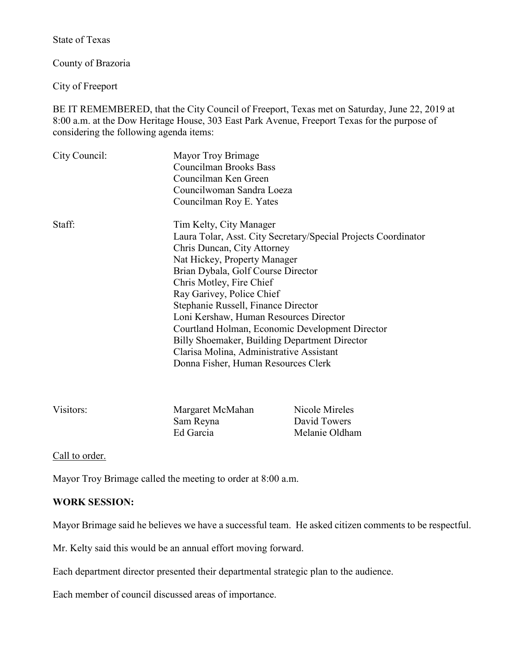State of Texas

County of Brazoria

City of Freeport

BE IT REMEMBERED, that the City Council of Freeport, Texas met on Saturday, June 22, 2019 at 8:00 a.m. at the Dow Heritage House, 303 East Park Avenue, Freeport Texas for the purpose of considering the following agenda items:

| City Council: | Mayor Troy Brimage<br><b>Councilman Brooks Bass</b><br>Councilman Ken Green<br>Councilwoman Sandra Loeza<br>Councilman Roy E. Yates                                                                                                                                                                                                                                                                                                                                                                                             |
|---------------|---------------------------------------------------------------------------------------------------------------------------------------------------------------------------------------------------------------------------------------------------------------------------------------------------------------------------------------------------------------------------------------------------------------------------------------------------------------------------------------------------------------------------------|
| Staff:        | Tim Kelty, City Manager<br>Laura Tolar, Asst. City Secretary/Special Projects Coordinator<br>Chris Duncan, City Attorney<br>Nat Hickey, Property Manager<br>Brian Dybala, Golf Course Director<br>Chris Motley, Fire Chief<br>Ray Garivey, Police Chief<br>Stephanie Russell, Finance Director<br>Loni Kershaw, Human Resources Director<br>Courtland Holman, Economic Development Director<br>Billy Shoemaker, Building Department Director<br>Clarisa Molina, Administrative Assistant<br>Donna Fisher, Human Resources Clerk |

| Margaret McMahan | Nicole Mireles |
|------------------|----------------|
| Sam Reyna        | David Towers   |
| Ed Garcia        | Melanie Oldham |
|                  |                |

Call to order.

Mayor Troy Brimage called the meeting to order at 8:00 a.m.

## **WORK SESSION:**

Mayor Brimage said he believes we have a successful team. He asked citizen comments to be respectful.

Mr. Kelty said this would be an annual effort moving forward.

Each department director presented their departmental strategic plan to the audience.

Each member of council discussed areas of importance.